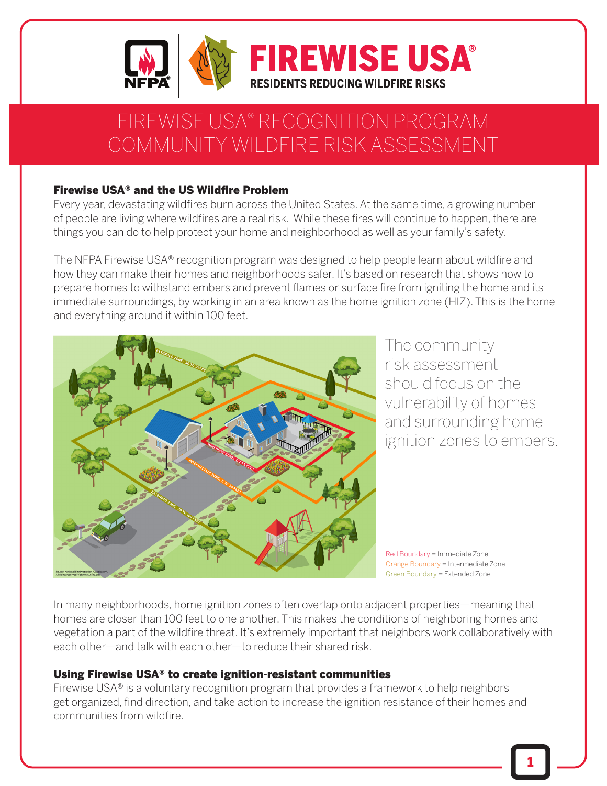

# FIREWISE USA® RECOGNITION PROGRAM COMMUNITY WILDFIRE RISK ASSESSMENT

#### Firewise USA® and the US Wildfire Problem

Every year, devastating wildfires burn across the United States. At the same time, a growing number of people are living where wildfires are a real risk. While these fires will continue to happen, there are things you can do to help protect your home and neighborhood as well as your family's safety.

The NFPA Firewise USA® recognition program was designed to help people learn about wildfire and how they can make their homes and neighborhoods safer. It's based on research that shows how to prepare homes to withstand embers and prevent flames or surface fire from igniting the home and its immediate surroundings, by working in an area known as the home ignition zone (HIZ). This is the home and everything around it within 100 feet.



The community risk assessment should focus on the vulnerability of homes and surrounding home ignition zones to embers.

Red Boundary = Immediate Zone Orange Boundary = Intermediate Zone Green Boundary = Extended Zone

In many neighborhoods, home ignition zones often overlap onto adjacent properties—meaning that homes are closer than 100 feet to one another. This makes the conditions of neighboring homes and vegetation a part of the wildfire threat. It's extremely important that neighbors work collaboratively with each other—and talk with each other—to reduce their shared risk.

#### Using Firewise USA® to create ignition-resistant communities

Firewise USA® is a voluntary recognition program that provides a framework to help neighbors get organized, find direction, and take action to increase the ignition resistance of their homes and communities from wildfire.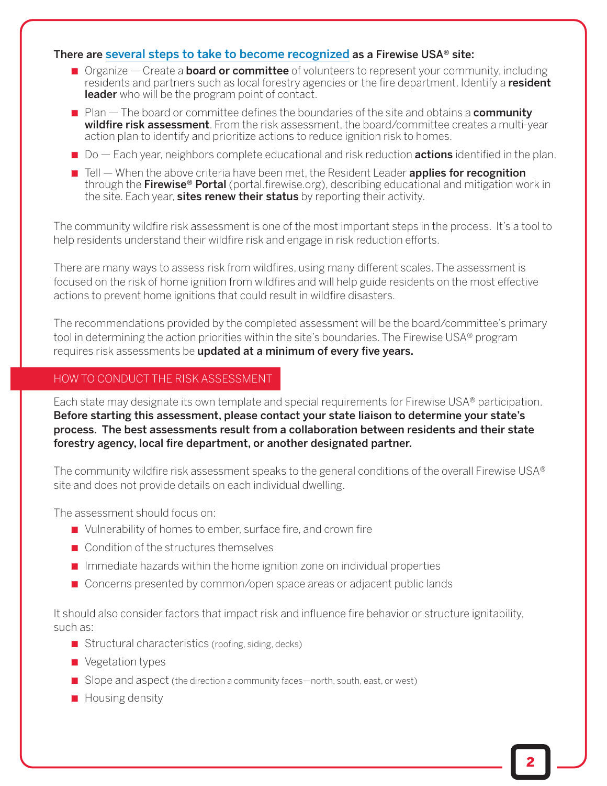#### There are [several steps to take to become recognized](https://www.nfpa.org/Public-Education/Fire-causes-and-risks/Wildfire/Firewise-USA/Become-a-Firewise-USA-site) as a Firewise USA® site:

- $\blacksquare$  Organize Create a **board or committee** of volunteers to represent your community, including residents and partners such as local forestry agencies or the fire department. Identify a resident leader who will be the program point of contact.
- Plan The board or committee defines the boundaries of the site and obtains a **community** wildfire risk assessment. From the risk assessment, the board/committee creates a multi-year action plan to identify and prioritize actions to reduce ignition risk to homes.
- $\Box$  Do  $\Box$  Each year, neighbors complete educational and risk reduction **actions** identified in the plan.
- $\blacksquare$  Tell  $\blacksquare$  When the above criteria have been met, the Resident Leader **applies for recognition** through the Firewise<sup>®</sup> Portal (portal.firewise.org), describing educational and mitigation work in the site. Each year, sites renew their status by reporting their activity.

The community wildfire risk assessment is one of the most important steps in the process. It's a tool to help residents understand their wildfire risk and engage in risk reduction efforts.

There are many ways to assess risk from wildfires, using many different scales. The assessment is focused on the risk of home ignition from wildfires and will help guide residents on the most effective actions to prevent home ignitions that could result in wildfire disasters.

The recommendations provided by the completed assessment will be the board/committee's primary tool in determining the action priorities within the site's boundaries. The Firewise USA® program requires risk assessments be updated at a minimum of every five years.

#### HOW TO CONDUCT THE RISK ASSESSMENT

Each state may designate its own template and special requirements for Firewise USA<sup>®</sup> participation. Before starting this assessment, please contact your state liaison to determine your state's process. The best assessments result from a collaboration between residents and their state forestry agency, local fire department, or another designated partner.

The community wildfire risk assessment speaks to the general conditions of the overall Firewise USA® site and does not provide details on each individual dwelling.

The assessment should focus on:

- Vulnerability of homes to ember, surface fire, and crown fire
- Condition of the structures themselves
- Immediate hazards within the home ignition zone on individual properties
- Concerns presented by common/open space areas or adjacent public lands

It should also consider factors that impact risk and influence fire behavior or structure ignitability, such as:

- Structural characteristics (roofing, siding, decks)
- Vegetation types
- Slope and aspect (the direction a community faces—north, south, east, or west)
- Housing density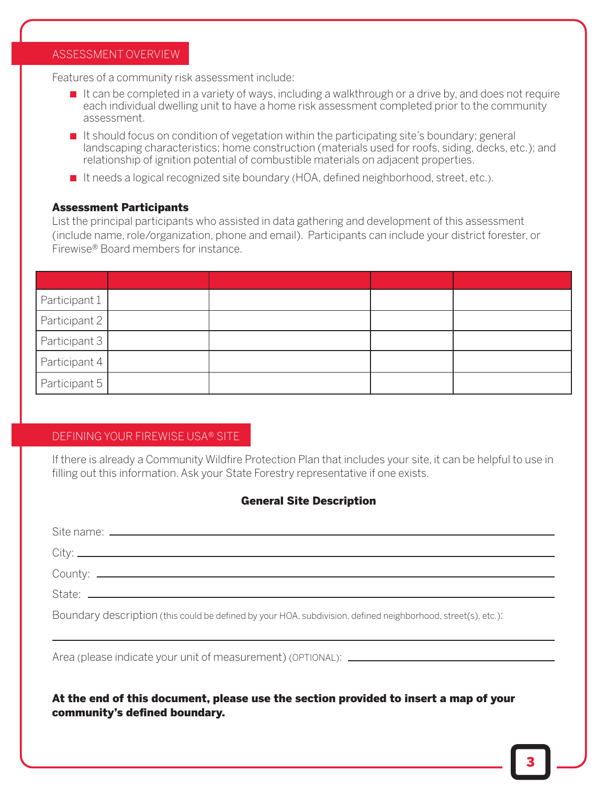#### ASSESSMENT OVERVIEW

Features of a community risk assessment include:

- It can be completed in a variety of ways, including a walkthrough or a drive by, and does not require each individual dwelling unit to have a home risk assessment completed prior to the community assessment.
- It should focus on condition of vegetation within the participating site's boundary; general landscaping characteristics; home construction (materials used for roofs, siding, decks, etc.); and relationship of ignition potential of combustible materials on adjacent properties.
- It needs a logical recognized site boundary (HOA, defined neighborhood, street, etc.).

#### Assessment Participants

List the principal participants who assisted in data gathering and development of this assessment (include name, role/organization, phone and email). Participants can include your district forester, or Firewise® Board members for instance.

| Participant 1   |  |  |
|-----------------|--|--|
| Participant 2   |  |  |
| Participant 3   |  |  |
| Participant $4$ |  |  |
| Participant 5   |  |  |

#### DEFINING YOUR FIREWISE USA® SITE

community's defined boundary.

If there is already a Community Wildfire Protection Plan that includes your site, it can be helpful to use in filling out this information. Ask your State Forestry representative if one exists.

#### General Site Description

| Boundary description (this could be defined by your HOA, subdivision, defined neighborhood, street(s), etc.): |  |  |  |  |  |
|---------------------------------------------------------------------------------------------------------------|--|--|--|--|--|
|                                                                                                               |  |  |  |  |  |
| At the end of this document, please use the section provided to insert a map of your                          |  |  |  |  |  |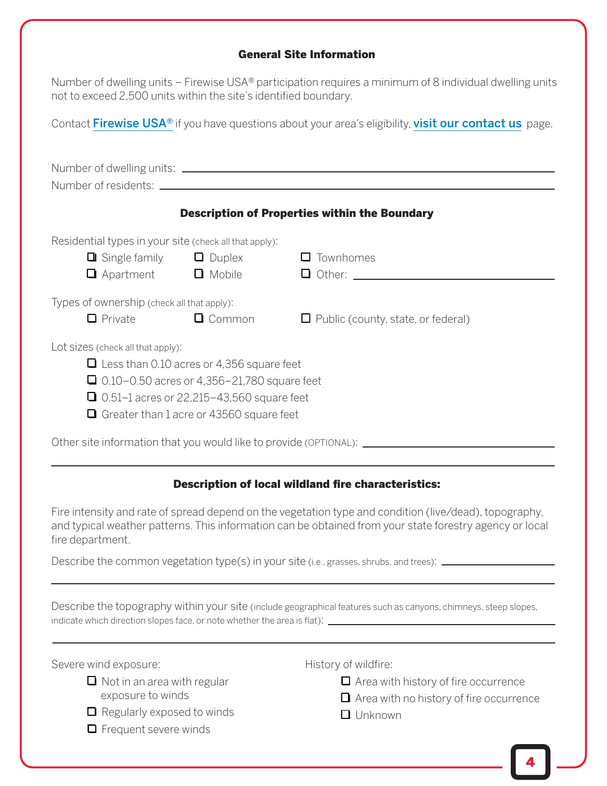#### General Site Information

| Number of dwelling units – Firewise USA® participation requires a minimum of 8 individual dwelling units<br>not to exceed 2,500 units within the site's identified boundary. |  |  |  |  |  |  |  |
|------------------------------------------------------------------------------------------------------------------------------------------------------------------------------|--|--|--|--|--|--|--|
| Contact Firewise USA <sup>®</sup> if you have questions about your area's eligibility, visit our contact us page.                                                            |  |  |  |  |  |  |  |
| Number of residents: _________                                                                                                                                               |  |  |  |  |  |  |  |
| <b>Description of Properties within the Boundary</b>                                                                                                                         |  |  |  |  |  |  |  |
| Residential types in your site (check all that apply):<br>$\Box$ Single family $\Box$ Duplex $\Box$ Townhomes                                                                |  |  |  |  |  |  |  |

|                                                                                                                                                                                                                                                    | $\Box$ Single family<br>$\Box$ Apartment                     | $\Box$ Duplex<br><b>Q</b> Mobile | $\Box$ Townhomes<br>$\Box$ Other: $\Box$  |  |  |  |
|----------------------------------------------------------------------------------------------------------------------------------------------------------------------------------------------------------------------------------------------------|--------------------------------------------------------------|----------------------------------|-------------------------------------------|--|--|--|
|                                                                                                                                                                                                                                                    | Types of ownership (check all that apply):<br>$\Box$ Private | $\Box$ Common                    | $\Box$ Public (county, state, or federal) |  |  |  |
| Lot sizes (check all that apply):<br>$\Box$ Less than 0.10 acres or 4,356 square feet<br>$\Box$ 0.10–0.50 acres or 4,356–21,780 square feet<br>$\Box$ 0.51–1 acres or 22,215–43,560 square feet<br>$\Box$ Greater than 1 acre or 43560 square feet |                                                              |                                  |                                           |  |  |  |
| Other site information that you would like to provide (OPTIONAL): _                                                                                                                                                                                |                                                              |                                  |                                           |  |  |  |

### Description of local wildland fire characteristics:

Fire intensity and rate of spread depend on the vegetation type and condition (live/dead), topography, and typical weather patterns. This information can be obtained from your state forestry agency or local fire department.

Describe the common vegetation type(s) in your site (i.e., grasses, shrubs, and trees): \_\_\_\_\_\_\_\_\_\_\_\_\_\_\_\_\_\_\_\_\_

Describe the topography within your site (include geographical features such as canyons, chimneys, steep slopes, indicate which direction slopes face, or note whether the area is flat):  $\sqrt{\frac{1}{\sqrt{1 + \left(1 + \frac{1}{n} + \frac{1}{n} + \frac{1}{n} + \frac{1}{n} + \frac{1}{n} + \frac{1}{n} + \frac{1}{n} + \frac{1}{n} + \frac{1}{n} + \frac{1}{n} + \frac{1}{n} + \frac{1}{n} + \frac{1}{n} + \frac{1}{n} + \frac{1}{n} + \frac{1}{n} + \frac{$ 

Severe wind exposure:

- $\Box$  Not in an area with regular exposure to winds
- $\Box$  Regularly exposed to winds
- $\Box$  Frequent severe winds

History of wildfire:

- $\Box$  Area with history of fire occurrence
- $\Box$  Area with no history of fire occurrence
- $\Box$  Unknown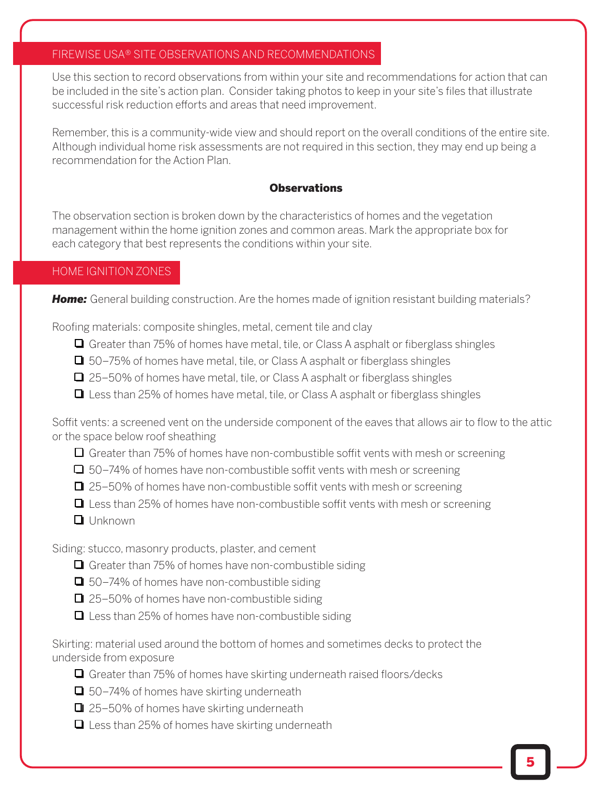#### FIREWISE USA® SITE OBSERVATIONS AND RECOMMENDATIONS

Use this section to record observations from within your site and recommendations for action that can be included in the site's action plan. Consider taking photos to keep in your site's files that illustrate successful risk reduction efforts and areas that need improvement.

Remember, this is a community-wide view and should report on the overall conditions of the entire site. Although individual home risk assessments are not required in this section, they may end up being a recommendation for the Action Plan.

#### **Observations**

The observation section is broken down by the characteristics of homes and the vegetation management within the home ignition zones and common areas. Mark the appropriate box for each category that best represents the conditions within your site.

#### HOME IGNITION ZONES

**Home:** General building construction. Are the homes made of ignition resistant building materials?

Roofing materials: composite shingles, metal, cement tile and clay

- $\Box$  Greater than 75% of homes have metal, tile, or Class A asphalt or fiberglass shingles
- $\Box$  50–75% of homes have metal, tile, or Class A asphalt or fiberglass shingles
- $\Box$  25–50% of homes have metal, tile, or Class A asphalt or fiberglass shingles
- $\Box$  Less than 25% of homes have metal, tile, or Class A asphalt or fiberglass shingles

Soffit vents: a screened vent on the underside component of the eaves that allows air to flow to the attic or the space below roof sheathing

 $\Box$  Greater than 75% of homes have non-combustible soffit vents with mesh or screening

- $\Box$  50–74% of homes have non-combustible soffit vents with mesh or screening
- $\Box$  25–50% of homes have non-combustible soffit vents with mesh or screening
- $\Box$  Less than 25% of homes have non-combustible soffit vents with mesh or screening
- $\Box$  Unknown

Siding: stucco, masonry products, plaster, and cement

- $\Box$  Greater than 75% of homes have non-combustible siding
- $\Box$  50–74% of homes have non-combustible siding
- $\Box$  25–50% of homes have non-combustible siding
- $\Box$  Less than 25% of homes have non-combustible siding

Skirting: material used around the bottom of homes and sometimes decks to protect the underside from exposure

- $\Box$  Greater than 75% of homes have skirting underneath raised floors/decks
- $\Box$  50–74% of homes have skirting underneath
- $\Box$  25–50% of homes have skirting underneath
- $\Box$  Less than 25% of homes have skirting underneath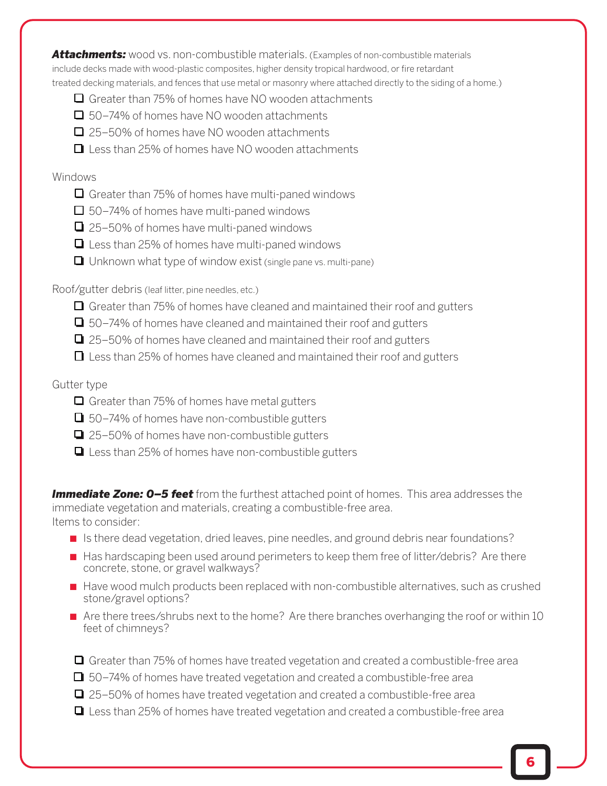*Attachments:* wood vs. non-combustible materials. (Examples of non-combustible materials include decks made with wood-plastic composites, higher density tropical hardwood, or fire retardant treated decking materials, and fences that use metal or masonry where attached directly to the siding of a home.)

- $\Box$  Greater than 75% of homes have NO wooden attachments
- $\Box$  50–74% of homes have NO wooden attachments
- $\Box$  25–50% of homes have NO wooden attachments
- $\Box$  Less than 25% of homes have NO wooden attachments

#### Windows

- $\Box$  Greater than 75% of homes have multi-paned windows
- $\Box$  50–74% of homes have multi-paned windows
- $\Box$  25–50% of homes have multi-paned windows
- $\Box$  Less than 25% of homes have multi-paned windows
- $\Box$  Unknown what type of window exist (single pane vs. multi-pane)

Roof/gutter debris (leaf litter, pine needles, etc.)

- $\Box$  Greater than 75% of homes have cleaned and maintained their roof and gutters
- $\Box$  50–74% of homes have cleaned and maintained their roof and gutters
- $\Box$  25–50% of homes have cleaned and maintained their roof and gutters
- $\Box$  Less than 25% of homes have cleaned and maintained their roof and gutters

#### Gutter type

- $\Box$  Greater than 75% of homes have metal gutters
- $\Box$  50–74% of homes have non-combustible gutters
- $\Box$  25–50% of homes have non-combustible gutters
- $\Box$  Less than 25% of homes have non-combustible gutters

**Immediate Zone: 0–5 feet** from the furthest attached point of homes. This area addresses the immediate vegetation and materials, creating a combustible-free area. Items to consider:

- Is there dead vegetation, dried leaves, pine needles, and ground debris near foundations?
- Has hardscaping been used around perimeters to keep them free of litter/debris? Are there concrete, stone, or gravel walkways?
- Have wood mulch products been replaced with non-combustible alternatives, such as crushed stone/gravel options?
- Are there trees/shrubs next to the home? Are there branches overhanging the roof or within 10 feet of chimneys?
- $\Box$  Greater than 75% of homes have treated vegetation and created a combustible-free area
- $\Box$  50–74% of homes have treated vegetation and created a combustible-free area
- $\Box$  25–50% of homes have treated vegetation and created a combustible-free area
- $\Box$  Less than 25% of homes have treated vegetation and created a combustible-free area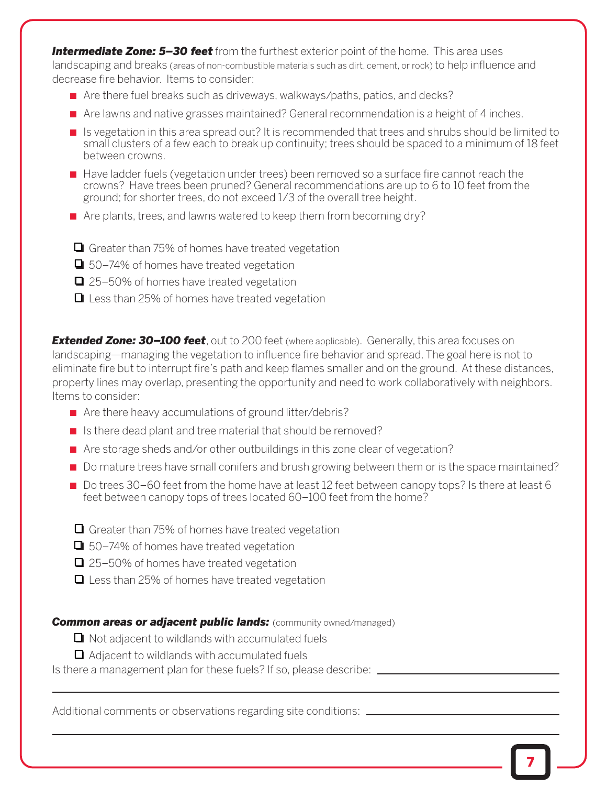*Intermediate Zone: 5–30 feet* from the furthest exterior point of the home. This area uses landscaping and breaks (areas of non-combustible materials such as dirt, cement, or rock) to help influence and decrease fire behavior. Items to consider:

- Are there fuel breaks such as driveways, walkways/paths, patios, and decks?
- Are lawns and native grasses maintained? General recommendation is a height of 4 inches.
- Is vegetation in this area spread out? It is recommended that trees and shrubs should be limited to small clusters of a few each to break up continuity; trees should be spaced to a minimum of 18 feet between crowns.
- Have ladder fuels (vegetation under trees) been removed so a surface fire cannot reach the crowns? Have trees been pruned? General recommendations are up to 6 to 10 feet from the ground; for shorter trees, do not exceed 1/3 of the overall tree height.
- Are plants, trees, and lawns watered to keep them from becoming dry?
- $\Box$  Greater than 75% of homes have treated vegetation
- $\Box$  50–74% of homes have treated vegetation
- $\Box$  25–50% of homes have treated vegetation
- $\Box$  Less than 25% of homes have treated vegetation

**Extended Zone: 30–100 feet**, out to 200 feet (where applicable). Generally, this area focuses on landscaping—managing the vegetation to influence fire behavior and spread. The goal here is not to eliminate fire but to interrupt fire's path and keep flames smaller and on the ground. At these distances, property lines may overlap, presenting the opportunity and need to work collaboratively with neighbors. Items to consider:

- Are there heavy accumulations of ground litter/debris?
- Is there dead plant and tree material that should be removed?
- Are storage sheds and/or other outbuildings in this zone clear of vegetation?
- Do mature trees have small conifers and brush growing between them or is the space maintained?
- Do trees 30–60 feet from the home have at least 12 feet between canopy tops? Is there at least 6 feet between canopy tops of trees located 60–100 feet from the home?
- $\Box$  Greater than 75% of homes have treated vegetation
- $\Box$  50–74% of homes have treated vegetation
- $\Box$  25–50% of homes have treated vegetation
- $\Box$  Less than 25% of homes have treated vegetation

#### **Common areas or adjacent public lands:** (community owned/managed)

- $\Box$  Not adjacent to wildlands with accumulated fuels
- $\Box$  Adjacent to wildlands with accumulated fuels

Is there a management plan for these fuels? If so, please describe: \_\_\_\_\_\_\_\_\_\_\_\_

Additional comments or observations regarding site conditions: \_\_\_\_\_\_\_\_\_\_\_\_\_\_\_\_\_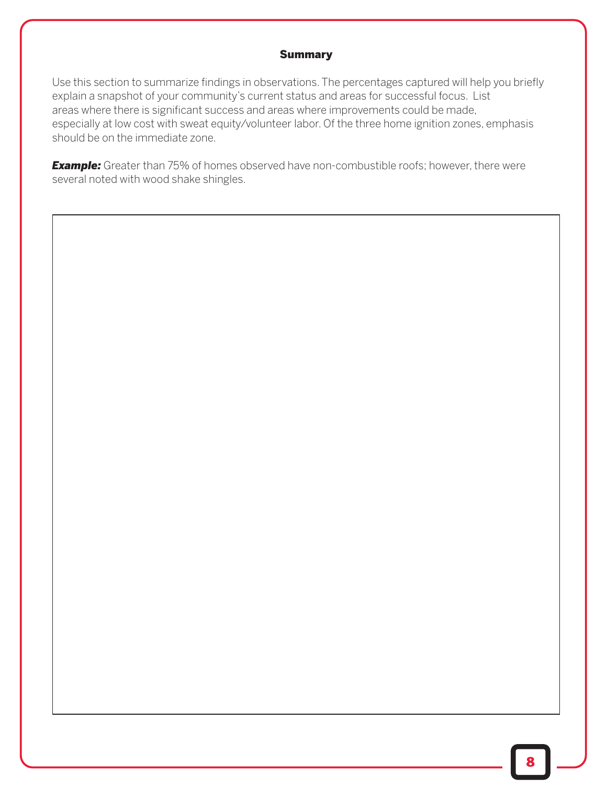#### Summary

Use this section to summarize findings in observations. The percentages captured will help you briefly explain a snapshot of your community's current status and areas for successful focus. List areas where there is significant success and areas where improvements could be made, especially at low cost with sweat equity/volunteer labor. Of the three home ignition zones, emphasis should be on the immediate zone.

**Example:** Greater than 75% of homes observed have non-combustible roofs; however, there were several noted with wood shake shingles.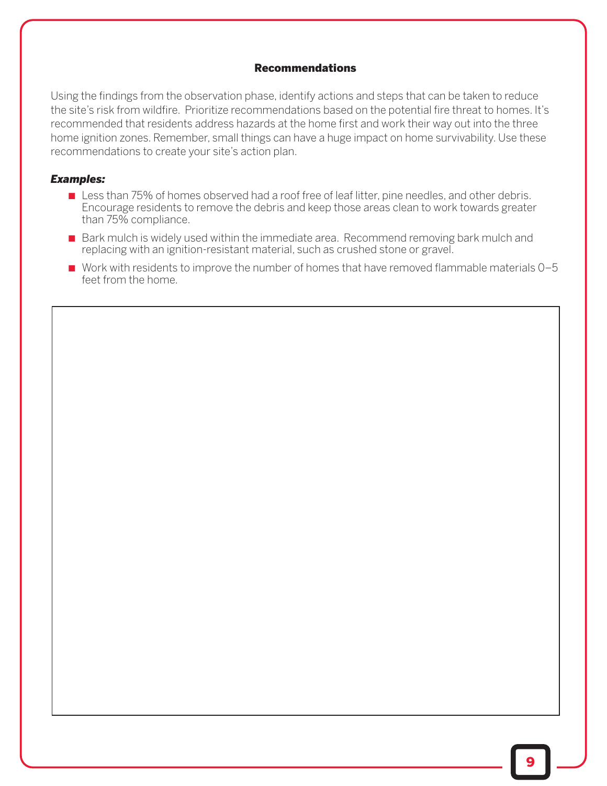#### Recommendations

Using the findings from the observation phase, identify actions and steps that can be taken to reduce the site's risk from wildfire. Prioritize recommendations based on the potential fire threat to homes. It's recommended that residents address hazards at the home first and work their way out into the three home ignition zones. Remember, small things can have a huge impact on home survivability. Use these recommendations to create your site's action plan.

#### *Examples:*

- Less than 75% of homes observed had a roof free of leaf litter, pine needles, and other debris. Encourage residents to remove the debris and keep those areas clean to work towards greater than 75% compliance.
- Bark mulch is widely used within the immediate area. Recommend removing bark mulch and replacing with an ignition-resistant material, such as crushed stone or gravel.
- Work with residents to improve the number of homes that have removed flammable materials 0–5 feet from the home.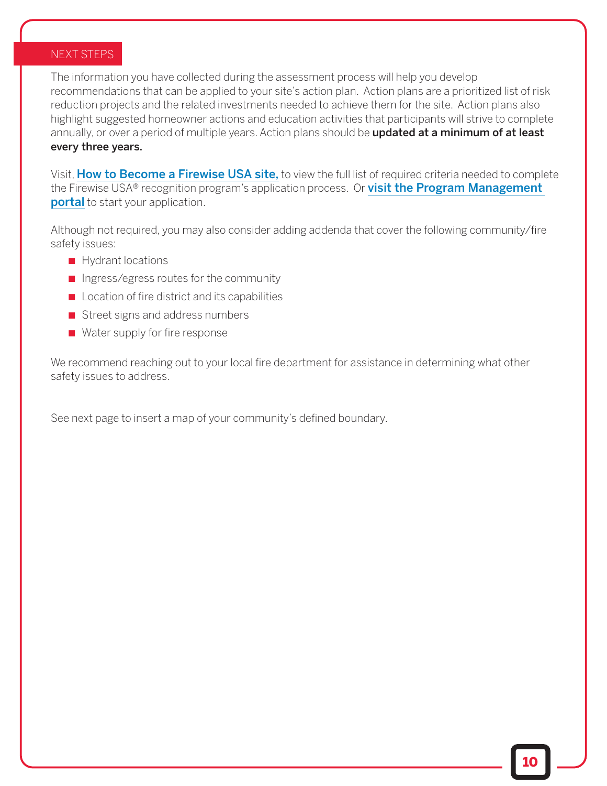#### NEXT STEPS

The information you have collected during the assessment process will help you develop recommendations that can be applied to your site's action plan. Action plans are a prioritized list of risk reduction projects and the related investments needed to achieve them for the site. Action plans also highlight suggested homeowner actions and education activities that participants will strive to complete annually, or over a period of multiple years. Action plans should be **updated at a minimum of at least** every three years.

Visit, [How to Become a Firewise USA site,](https://www.nfpa.org/public-education/fire-causes-and-risks/wildfire/firewise-usa/become-a-firewise-usa-site) to view the full list of required criteria needed to complete the Firewise USA® recognition program's application process. Or [visit the Program Management](https://portal.firewise.org) **portal** to start your application.

Although not required, you may also consider adding addenda that cover the following community/fire safety issues:

- Hydrant locations
- Ingress/egress routes for the community
- Location of fire district and its capabilities
- Street signs and address numbers
- Water supply for fire response

We recommend reaching out to your local fire department for assistance in determining what other safety issues to address.

See next page to insert a map of your community's defined boundary.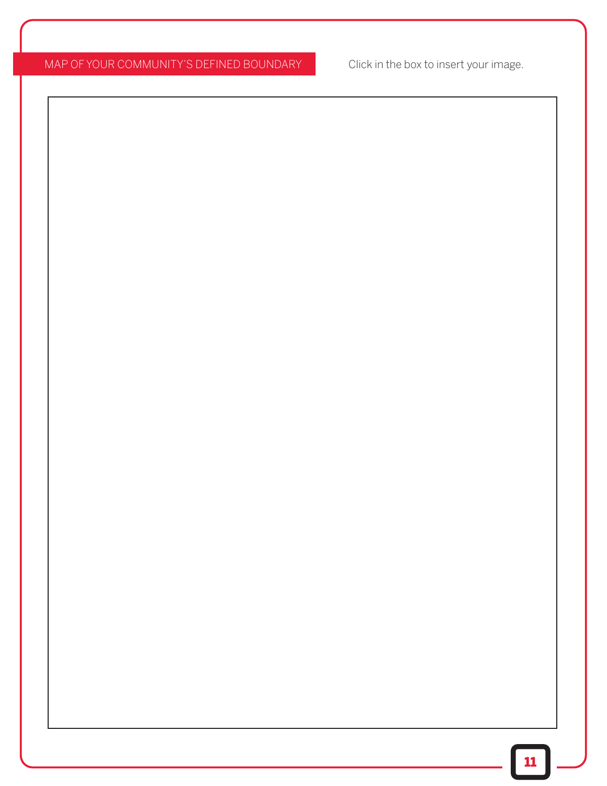## MAP OF YOUR COMMUNITY'S DEFINED BOUNDARY Click in the box to insert your image.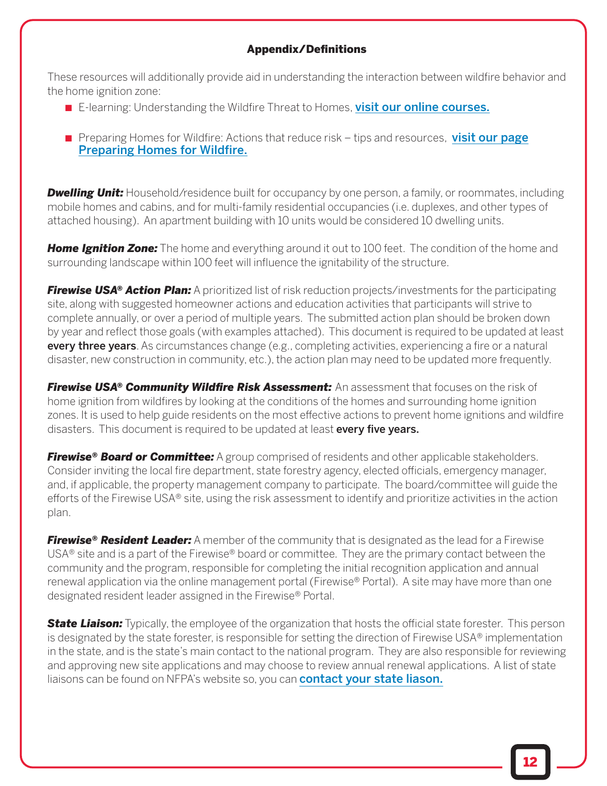#### Appendix/Definitions

These resources will additionally provide aid in understanding the interaction between wildfire behavior and the home ignition zone:

- E-learning: Understanding the Wildfire Threat to Homes, [visit our online courses.](https://www.nfpa.org/Public-Education/Fire-causes-and-risks/Wildfire/Firewise-USA/Online-learning-opportunities/Online-courses)
- [Preparing Homes for Wildfire: Actions that reduce risk tips and resources,](https://www.nfpa.org/preparinghomesforwildfire) visit our page Preparing Homes for Wildfire.

*Dwelling Unit:* Household/residence built for occupancy by one person, a family, or roommates, including mobile homes and cabins, and for multi-family residential occupancies (i.e. duplexes, and other types of attached housing). An apartment building with 10 units would be considered 10 dwelling units.

*Home Ignition Zone:* The home and everything around it out to 100 feet. The condition of the home and surrounding landscape within 100 feet will influence the ignitability of the structure.

*Firewise USA® Action Plan:* A prioritized list of risk reduction projects/investments for the participating site, along with suggested homeowner actions and education activities that participants will strive to complete annually, or over a period of multiple years. The submitted action plan should be broken down by year and reflect those goals (with examples attached). This document is required to be updated at least every three years. As circumstances change (e.g., completing activities, experiencing a fire or a natural disaster, new construction in community, etc.), the action plan may need to be updated more frequently.

*Firewise USA® Community Wildfire Risk Assessment:* An assessment that focuses on the risk of home ignition from wildfires by looking at the conditions of the homes and surrounding home ignition zones. It is used to help guide residents on the most effective actions to prevent home ignitions and wildfire disasters. This document is required to be updated at least every five years.

*Firewise® Board or Committee:* A group comprised of residents and other applicable stakeholders. Consider inviting the local fire department, state forestry agency, elected officials, emergency manager, and, if applicable, the property management company to participate. The board/committee will guide the efforts of the Firewise USA® site, using the risk assessment to identify and prioritize activities in the action plan.

*Firewise® Resident Leader:* A member of the community that is designated as the lead for a Firewise USA® site and is a part of the Firewise® board or committee. They are the primary contact between the community and the program, responsible for completing the initial recognition application and annual renewal application via the online management portal (Firewise® Portal). A site may have more than one designated resident leader assigned in the Firewise® Portal.

**State Liaison:** Typically, the employee of the organization that hosts the official state forester. This person is designated by the state forester, is responsible for setting the direction of Firewise USA® implementation in the state, and is the state's main contact to the national program. They are also responsible for reviewing and approving new site applications and may choose to review annual renewal applications. A list of state liaisons can be found on NFPA's website so, you can **[contact your state liason.](https://www.nfpa.org/public-education/fire-causes-and-risks/wildfire/firewise-usa/become-a-firewise-usa-site/contact-your-state-liaison.)**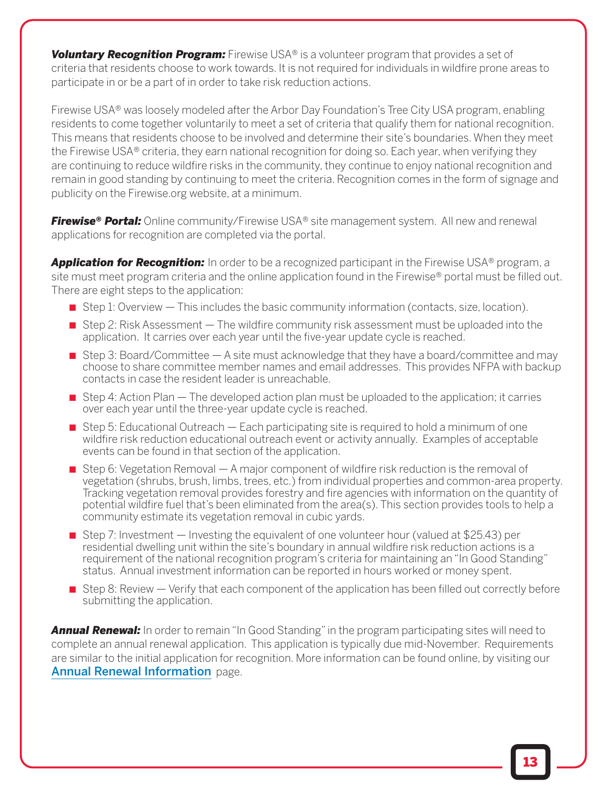*Voluntary Recognition Program:* Firewise USA® is a volunteer program that provides a set of criteria that residents choose to work towards. It is not required for individuals in wildfire prone areas to participate in or be a part of in order to take risk reduction actions.

Firewise USA® was loosely modeled after the Arbor Day Foundation's Tree City USA program, enabling residents to come together voluntarily to meet a set of criteria that qualify them for national recognition. This means that residents choose to be involved and determine their site's boundaries. When they meet the Firewise USA® criteria, they earn national recognition for doing so. Each year, when verifying they are continuing to reduce wildfire risks in the community, they continue to enjoy national recognition and remain in good standing by continuing to meet the criteria. Recognition comes in the form of signage and publicity on the Firewise.org website, at a minimum.

*Firewise® Portal:* Online community/Firewise USA® site management system. All new and renewal applications for recognition are completed via the portal.

**Application for Recognition:** In order to be a recognized participant in the Firewise USA® program, a site must meet program criteria and the online application found in the Firewise® portal must be filled out. There are eight steps to the application:

- Step 1: Overview This includes the basic community information (contacts, size, location).
- Step 2: Risk Assessment The wildfire community risk assessment must be uploaded into the application. It carries over each year until the five-year update cycle is reached.
- Step 3: Board/Committee A site must acknowledge that they have a board/committee and may choose to share committee member names and email addresses. This provides NFPA with backup contacts in case the resident leader is unreachable.
- $\blacksquare$  Step 4: Action Plan  $-$  The developed action plan must be uploaded to the application; it carries over each year until the three-year update cycle is reached.
- $\blacksquare$  Step 5: Educational Outreach Each participating site is required to hold a minimum of one wildfire risk reduction educational outreach event or activity annually. Examples of acceptable events can be found in that section of the application.
- Step 6: Vegetation Removal A major component of wildfire risk reduction is the removal of vegetation (shrubs, brush, limbs, trees, etc.) from individual properties and common-area property. Tracking vegetation removal provides forestry and fire agencies with information on the quantity of potential wildfire fuel that's been eliminated from the area(s). This section provides tools to help a community estimate its vegetation removal in cubic yards.
- Step 7: Investment Investing the equivalent of one volunteer hour (valued at \$25.43) per residential dwelling unit within the site's boundary in annual wildfire risk reduction actions is a requirement of the national recognition program's criteria for maintaining an "In Good Standing" status. Annual investment information can be reported in hours worked or money spent.
- Step 8: Review Verify that each component of the application has been filled out correctly before submitting the application.

*Annual Renewal:* In order to remain "In Good Standing" in the program participating sites will need to complete an annual renewal application. This application is typically due mid-November. Requirements are similar to the initial application for recognition. More information can be found online, by visiting our [Annual Renewal Information](https://www.nfpa.org/public-education/fire-causes-and-risks/wildfire/firewise-usa/firewise-usa-resources/annual-renewal-information.) page.